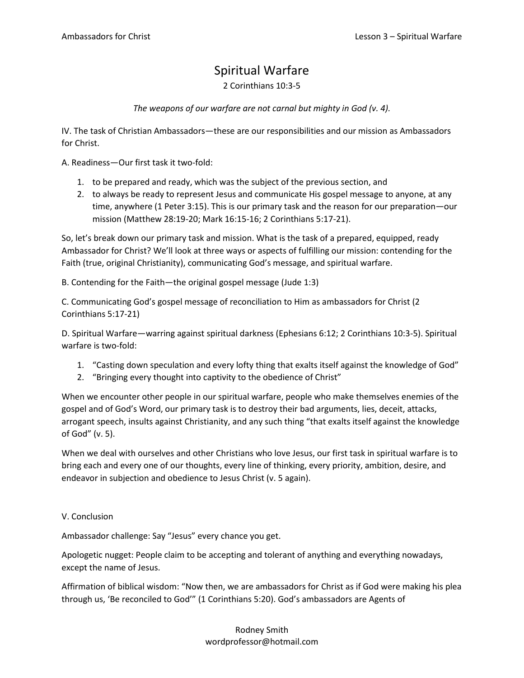## Spiritual Warfare

2 Corinthians 10:3-5

*The weapons of our warfare are not carnal but mighty in God (v. 4).*

IV. The task of Christian Ambassadors—these are our responsibilities and our mission as Ambassadors for Christ.

A. Readiness—Our first task it two-fold:

- 1. to be prepared and ready, which was the subject of the previous section, and
- 2. to always be ready to represent Jesus and communicate His gospel message to anyone, at any time, anywhere (1 Peter 3:15). This is our primary task and the reason for our preparation—our mission (Matthew 28:19-20; Mark 16:15-16; 2 Corinthians 5:17-21).

So, let's break down our primary task and mission. What is the task of a prepared, equipped, ready Ambassador for Christ? We'll look at three ways or aspects of fulfilling our mission: contending for the Faith (true, original Christianity), communicating God's message, and spiritual warfare.

B. Contending for the Faith—the original gospel message (Jude 1:3)

C. Communicating God's gospel message of reconciliation to Him as ambassadors for Christ (2 Corinthians 5:17-21)

D. Spiritual Warfare—warring against spiritual darkness (Ephesians 6:12; 2 Corinthians 10:3-5). Spiritual warfare is two-fold:

- 1. "Casting down speculation and every lofty thing that exalts itself against the knowledge of God"
- 2. "Bringing every thought into captivity to the obedience of Christ"

When we encounter other people in our spiritual warfare, people who make themselves enemies of the gospel and of God's Word, our primary task is to destroy their bad arguments, lies, deceit, attacks, arrogant speech, insults against Christianity, and any such thing "that exalts itself against the knowledge of God" (v. 5).

When we deal with ourselves and other Christians who love Jesus, our first task in spiritual warfare is to bring each and every one of our thoughts, every line of thinking, every priority, ambition, desire, and endeavor in subjection and obedience to Jesus Christ (v. 5 again).

## V. Conclusion

Ambassador challenge: Say "Jesus" every chance you get.

Apologetic nugget: People claim to be accepting and tolerant of anything and everything nowadays, except the name of Jesus.

Affirmation of biblical wisdom: "Now then, we are ambassadors for Christ as if God were making his plea through us, 'Be reconciled to God'" (1 Corinthians 5:20). God's ambassadors are Agents of